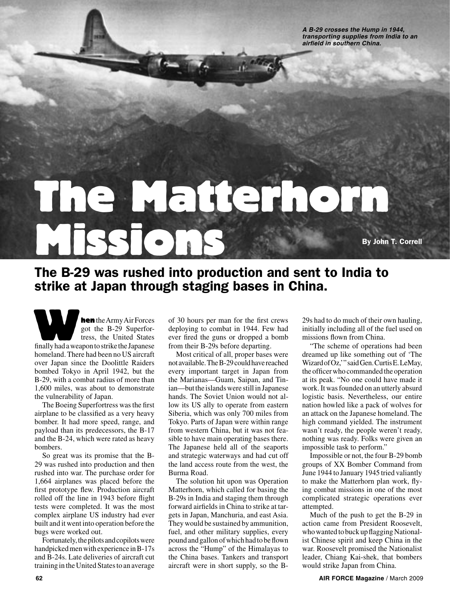**A B-29 crosses the Hump in 1944, transporting supplies from India to an airfield in southern China.**

# The Matterhorn SIONS By John T. Correll

## The B-29 was rushed into production and sent to India to strike at Japan through staging bases in China.

hen the Army Air Forces got the B-29 Superfortress, the United States **hen** the Army Air Forces<br>got the B-29 Superfor-<br>tress, the United States<br>finally had a weapon to strike the Japanese homeland. There had been no US aircraft over Japan since the Doolittle Raiders bombed Tokyo in April 1942, but the B-29, with a combat radius of more than 1,600 miles, was about to demonstrate the vulnerability of Japan.

The Boeing Superfortress was the first airplane to be classified as a very heavy bomber. It had more speed, range, and payload than its predecessors, the B-17 and the B-24, which were rated as heavy bombers.

So great was its promise that the B-29 was rushed into production and then rushed into war. The purchase order for 1,664 airplanes was placed before the first prototype flew. Production aircraft rolled off the line in 1943 before flight tests were completed. It was the most complex airplane US industry had ever built and it went into operation before the bugs were worked out.

Fortunately, the pilots and copilots were handpicked men with experience in B-17s and B-24s. Late deliveries of aircraft cut training in the United States to an average

of 30 hours per man for the first crews deploying to combat in 1944. Few had ever fired the guns or dropped a bomb from their B-29s before departing.

Most critical of all, proper bases were not available. The B-29 could have reached every important target in Japan from the Marianas—Guam, Saipan, and Tinian—but the islands were still in Japanese hands. The Soviet Union would not allow its US ally to operate from eastern Siberia, which was only 700 miles from Tokyo. Parts of Japan were within range from western China, but it was not feasible to have main operating bases there. The Japanese held all of the seaports and strategic waterways and had cut off the land access route from the west, the Burma Road.

The solution hit upon was Operation Matterhorn, which called for basing the B-29s in India and staging them through forward airfields in China to strike at targets in Japan, Manchuria, and east Asia. They would be sustained by ammunition, fuel, and other military supplies, every pound and gallon of which had to be flown across the "Hump" of the Himalayas to the China bases. Tankers and transport aircraft were in short supply, so the B-

29s had to do much of their own hauling, initially including all of the fuel used on missions flown from China.

"The scheme of operations had been dreamed up like something out of 'The Wizard of Oz,' " said Gen. Curtis E. LeMay, the officer who commanded the operation at its peak. "No one could have made it work. It was founded on an utterly absurd logistic basis. Nevertheless, our entire nation howled like a pack of wolves for an attack on the Japanese homeland. The high command yielded. The instrument wasn't ready, the people weren't ready, nothing was ready. Folks were given an impossible task to perform."

Impossible or not, the four B-29 bomb groups of XX Bomber Command from June 1944 to January 1945 tried valiantly to make the Matterhorn plan work, flying combat missions in one of the most complicated strategic operations ever attempted.

Much of the push to get the B-29 in action came from President Roosevelt, who wanted to buck up flagging Nationalist Chinese spirit and keep China in the war. Roosevelt promised the Nationalist leader, Chiang Kai-shek, that bombers would strike Japan from China.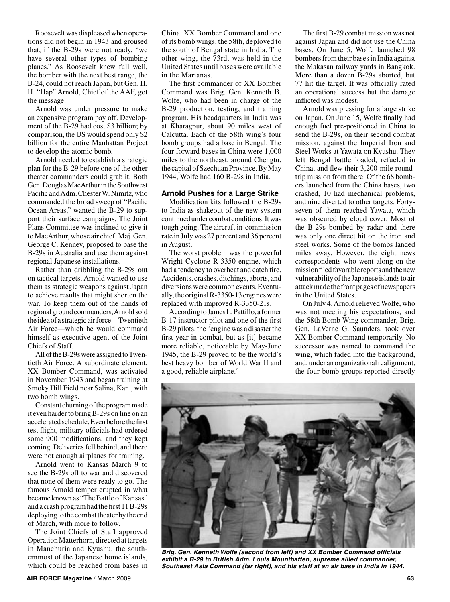Roosevelt was displeased when operations did not begin in 1943 and groused that, if the B-29s were not ready, "we have several other types of bombing planes." As Roosevelt knew full well, the bomber with the next best range, the B-24, could not reach Japan, but Gen. H. H. "Hap" Arnold, Chief of the AAF, got the message.

Arnold was under pressure to make an expensive program pay off. Development of the B-29 had cost \$3 billion; by comparison, the US would spend only \$2 billion for the entire Manhattan Project to develop the atomic bomb.

Arnold needed to establish a strategic plan for the B-29 before one of the other theater commanders could grab it. Both Gen. Douglas MacArthur in the Southwest Pacific and Adm. Chester W. Nimitz, who commanded the broad sweep of "Pacific Ocean Areas," wanted the B-29 to support their surface campaigns. The Joint Plans Committee was inclined to give it to MacArthur, whose air chief, Maj. Gen. George C. Kenney, proposed to base the B-29s in Australia and use them against regional Japanese installations.

Rather than dribbling the B-29s out on tactical targets, Arnold wanted to use them as strategic weapons against Japan to achieve results that might shorten the war. To keep them out of the hands of regional ground commanders, Arnold sold the idea of a strategic air force—Twentieth Air Force—which he would command himself as executive agent of the Joint Chiefs of Staff.

All of the B-29s were assigned to Twentieth Air Force. A subordinate element, XX Bomber Command, was activated in November 1943 and began training at Smoky Hill Field near Salina, Kan., with two bomb wings.

Constant churning of the program made it even harder to bring B-29s on line on an accelerated schedule. Even before the first test flight, military officials had ordered some 900 modifications, and they kept coming. Deliveries fell behind, and there were not enough airplanes for training.

Arnold went to Kansas March 9 to see the B-29s off to war and discovered that none of them were ready to go. The famous Arnold temper erupted in what became known as "The Battle of Kansas" and a crash program had the first 11 B-29s deploying to the combat theater by the end of March, with more to follow.

The Joint Chiefs of Staff approved Operation Matterhorn, directed at targets in Manchuria and Kyushu, the southernmost of the Japanese home islands, which could be reached from bases in China. XX Bomber Command and one of its bomb wings, the 58th, deployed to the south of Bengal state in India. The other wing, the 73rd, was held in the United States until bases were available in the Marianas.

The first commander of XX Bomber Command was Brig. Gen. Kenneth B. Wolfe, who had been in charge of the B-29 production, testing, and training program. His headquarters in India was at Kharagpur, about 90 miles west of Calcutta. Each of the 58th wing's four bomb groups had a base in Bengal. The four forward bases in China were 1,000 miles to the northeast, around Chengtu, the capital of Szechuan Province. By May 1944, Wolfe had 160 B-29s in India.

#### **Arnold Pushes for a Large Strike**

Modification kits followed the B-29s to India as shakeout of the new system continued under combat conditions. It was tough going. The aircraft in-commission rate in July was 27 percent and 36 percent in August.

The worst problem was the powerful Wright Cyclone R-3350 engine, which had a tendency to overheat and catch fire. Accidents, crashes, ditchings, aborts, and diversions were common events. Eventually, the original R-3350-13 engines were replaced with improved R-3350-21s.

According to James L. Pattillo, a former B-17 instructor pilot and one of the first B-29 pilots, the "engine was a disaster the first year in combat, but as [it] became more reliable, noticeable by May-June 1945, the B-29 proved to be the world's best heavy bomber of World War II and a good, reliable airplane."

The first B-29 combat mission was not against Japan and did not use the China bases. On June 5, Wolfe launched 98 bombers from their bases in India against the Makasan railway yards in Bangkok. More than a dozen B-29s aborted, but 77 hit the target. It was officially rated an operational success but the damage inflicted was modest.

Arnold was pressing for a large strike on Japan. On June 15, Wolfe finally had enough fuel pre-positioned in China to send the B-29s, on their second combat mission, against the Imperial Iron and Steel Works at Yawata on Kyushu. They left Bengal battle loaded, refueled in China, and flew their 3,200-mile roundtrip mission from there. Of the 68 bombers launched from the China bases, two crashed, 10 had mechanical problems, and nine diverted to other targets. Fortyseven of them reached Yawata, which was obscured by cloud cover. Most of the B-29s bombed by radar and there was only one direct hit on the iron and steel works. Some of the bombs landed miles away. However, the eight news correspondents who went along on the mission filed favorable reports and the new vulnerability of the Japanese islands to air attack made the front pages of newspapers in the United States.

On July 4, Arnold relieved Wolfe, who was not meeting his expectations, and the 58th Bomb Wing commander, Brig. Gen. LaVerne G. Saunders, took over XX Bomber Command temporarily. No successor was named to command the wing, which faded into the background, and, under an organizational realignment, the four bomb groups reported directly



**Brig. Gen. Kenneth Wolfe (second from left) and XX Bomber Command officials exhibit a B-29 to British Adm. Louis Mountbatten, supreme allied commander, Southeast Asia Command (far right), and his staff at an air base in India in 1944.**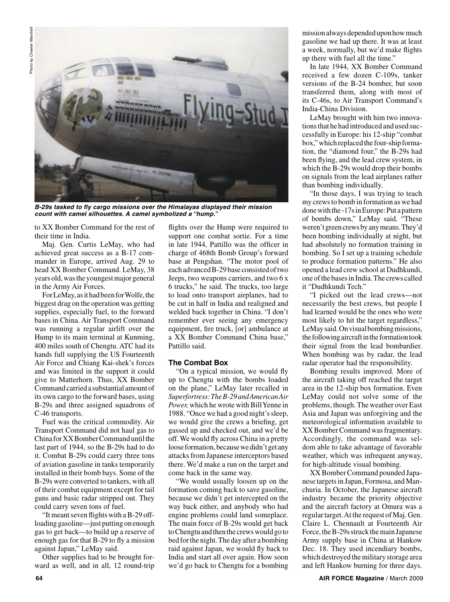

**B-29s tasked to fly cargo missions over the Himalayas displayed their mission count with camel silhouettes. A camel symbolized a "hump."**

to XX Bomber Command for the rest of their time in India.

Maj. Gen. Curtis LeMay, who had achieved great success as a B-17 commander in Europe, arrived Aug. 29 to head XX Bomber Command. LeMay, 38 years old, was the youngest major general in the Army Air Forces.

For LeMay, as it had been for Wolfe, the biggest drag on the operation was getting supplies, especially fuel, to the forward bases in China. Air Transport Command was running a regular airlift over the Hump to its main terminal at Kunming, 400 miles south of Chengtu. ATC had its hands full supplying the US Fourteenth Air Force and Chiang Kai-shek's forces and was limited in the support it could give to Matterhorn. Thus, XX Bomber Command carried a substantial amount of its own cargo to the forward bases, using B-29s and three assigned squadrons of C-46 transports.

Fuel was the critical commodity. Air Transport Command did not haul gas to China for XX Bomber Command until the last part of 1944, so the B-29s had to do it. Combat B-29s could carry three tons of aviation gasoline in tanks temporarily installed in their bomb bays. Some of the B-29s were converted to tankers, with all of their combat equipment except for tail guns and basic radar stripped out. They could carry seven tons of fuel.

"It meant seven flights with a B-29 offloading gasoline—just putting on enough gas to get back—to build up a reserve of enough gas for that B-29 to fly a mission against Japan," LeMay said.

Other supplies had to be brought forward as well, and in all, 12 round-trip

flights over the Hump were required to support one combat sortie. For a time in late 1944, Pattillo was the officer in charge of 468th Bomb Group's forward base at Pengshan. "The motor pool of each advanced B-29 base consisted of two Jeeps, two weapons carriers, and two 6 x 6 trucks," he said. The trucks, too large to load onto transport airplanes, had to be cut in half in India and realigned and welded back together in China. "I don't remember ever seeing any emergency equipment, fire truck, [or] ambulance at a XX Bomber Command China base," Pattillo said.

### **The Combat Box**

"On a typical mission, we would fly up to Chengtu with the bombs loaded on the plane," LeMay later recalled in *Superfortress: The B-29 and American Air Power,* which he wrote with Bill Yenne in 1988. "Once we had a good night's sleep, we would give the crews a briefing, get gassed up and checked out, and we'd be off. We would fly across China in a pretty loose formation, because we didn't get any attacks from Japanese interceptors based there. We'd make a run on the target and come back in the same way.

"We would usually loosen up on the formation coming back to save gasoline, because we didn't get intercepted on the way back either, and anybody who had engine problems could land someplace. The main force of B-29s would get back to Chengtu and then the crews would go to bed for the night. The day after a bombing raid against Japan, we would fly back to India and start all over again. How soon we'd go back to Chengtu for a bombing

mission always depended upon how much gasoline we had up there. It was at least a week, normally, but we'd make flights up there with fuel all the time."

In late 1944, XX Bomber Command received a few dozen C-109s, tanker versions of the B-24 bomber, but soon transferred them, along with most of its C-46s, to Air Transport Command's India-China Division.

LeMay brought with him two innovations that he had introduced and used successfully in Europe: his 12-ship "combat box," which replaced the four-ship formation, the "diamond four," the B-29s had been flying, and the lead crew system, in which the B-29s would drop their bombs on signals from the lead airplanes rather than bombing individually.

"In those days, I was trying to teach my crews to bomb in formation as we had done with the -17s in Europe: Put a pattern of bombs down," LeMay said. "These weren't green crews by any means. They'd been bombing individually at night, but had absolutely no formation training in bombing. So I set up a training schedule to produce formation patterns." He also opened a lead crew school at Dudhkundi, one of the bases in India. The crews called it "Dudhkundi Tech."

"I picked out the lead crews—not necessarily the best crews, but people I had learned would be the ones who were most likely to hit the target regardless," LeMay said. On visual bombing missions, the following aircraft in the formation took their signal from the lead bombardier. When bombing was by radar, the lead radar operator had the responsibility.

Bombing results improved. More of the aircraft taking off reached the target area in the 12-ship box formation. Even LeMay could not solve some of the problems, though. The weather over East Asia and Japan was unforgiving and the meteorological information available to XX Bomber Command was fragmentary. Accordingly, the command was seldom able to take advantage of favorable weather, which was infrequent anyway, for high-altitude visual bombing.

XX Bomber Command pounded Japanese targets in Japan, Formosa, and Manchuria. In October, the Japanese aircraft industry became the priority objective and the aircraft factory at Omura was a regular target. At the request of Maj. Gen. Claire L. Chennault at Fourteenth Air Force, the B-29s struck the main Japanese Army supply base in China at Hankow Dec. 18. They used incendiary bombs, which destroyed the military storage area and left Hankow burning for three days.